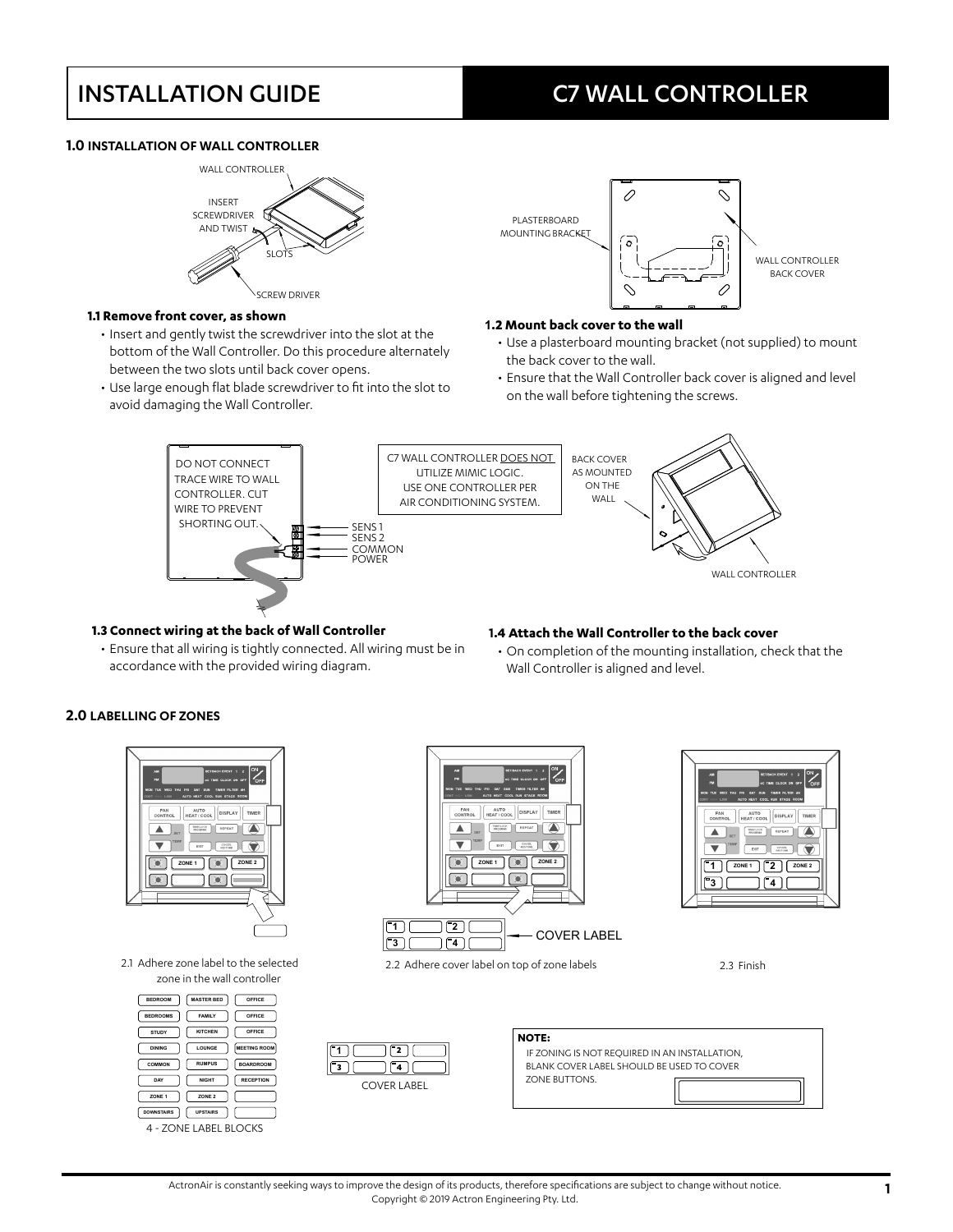## **1.0 INSTALLATION OF WALL CONTROLLER**



### **1.1 Remove front cover, as shown**

- Insert and gently twist the screwdriver into the slot at the bottom of the Wall Controller. Do this procedure alternately between the two slots until back cover opens.
- Use large enough flat blade screwdriver to fit into the slot to avoid damaging the Wall Controller.



### **1.2 Mount back cover to the wall**

- Use a plasterboard mounting bracket (not supplied) to mount the back cover to the wall.
- Ensure that the Wall Controller back cover is aligned and level on the wall before tightening the screws.



### **1.3 Connect wiring at the back of Wall Controller**

accordance with the provided wiring diagram.

### **1.4 Attach the Wall Controller to the back cover**

• Ensure that all wiring is tightly connected. All wiring must be in • On completion of the mounting installation, check that the Wall Controller is aligned and level.

## **2.0 LABELLING OF ZONES**



2.1 Adhere zone label to the selected zone in the wall controller

| <b>BEDROOM</b>        | <b>MASTER BED</b> | OFFICE              |  |
|-----------------------|-------------------|---------------------|--|
| <b>BEDROOMS</b>       | <b>FAMILY</b>     | OFFICE              |  |
| STUDY                 | <b>KITCHEN</b>    | OFFICE              |  |
| <b>DINING</b>         | LOUNGE            | <b>MEETING ROOM</b> |  |
| COMMON                | <b>RUMPUS</b>     | <b>BOARDROOM</b>    |  |
| DAY                   | <b>NIGHT</b>      | <b>RECEPTION</b>    |  |
| ZONE <sub>1</sub>     | ZONE <sub>2</sub> |                     |  |
| <b>DOWNSTAIRS</b>     | <b>UPSTAIRS</b>   |                     |  |
| 4 - ZONE LABEL BLOCKS |                   |                     |  |



2.2 Adhere cover label on top of zone labels 2.3 Finish



| <b>NOTE:</b>                                  |  |  |
|-----------------------------------------------|--|--|
| IF ZONING IS NOT REOUIRED IN AN INSTALLATION. |  |  |
| BLANK COVER LABEL SHOULD BE USED TO COVER     |  |  |
| <b>ZONE BUTTONS.</b>                          |  |  |

 $\begin{bmatrix} 3 \\ 4 \end{bmatrix}$ 

AUTO | DISPLAY | TIMER

TMECLOCK IL RE

 $\overline{\mathbb{R}}$ 

 $\blacksquare$ 

FAN

 $\blacktriangle$ 

 $\overline{\phantom{a}}$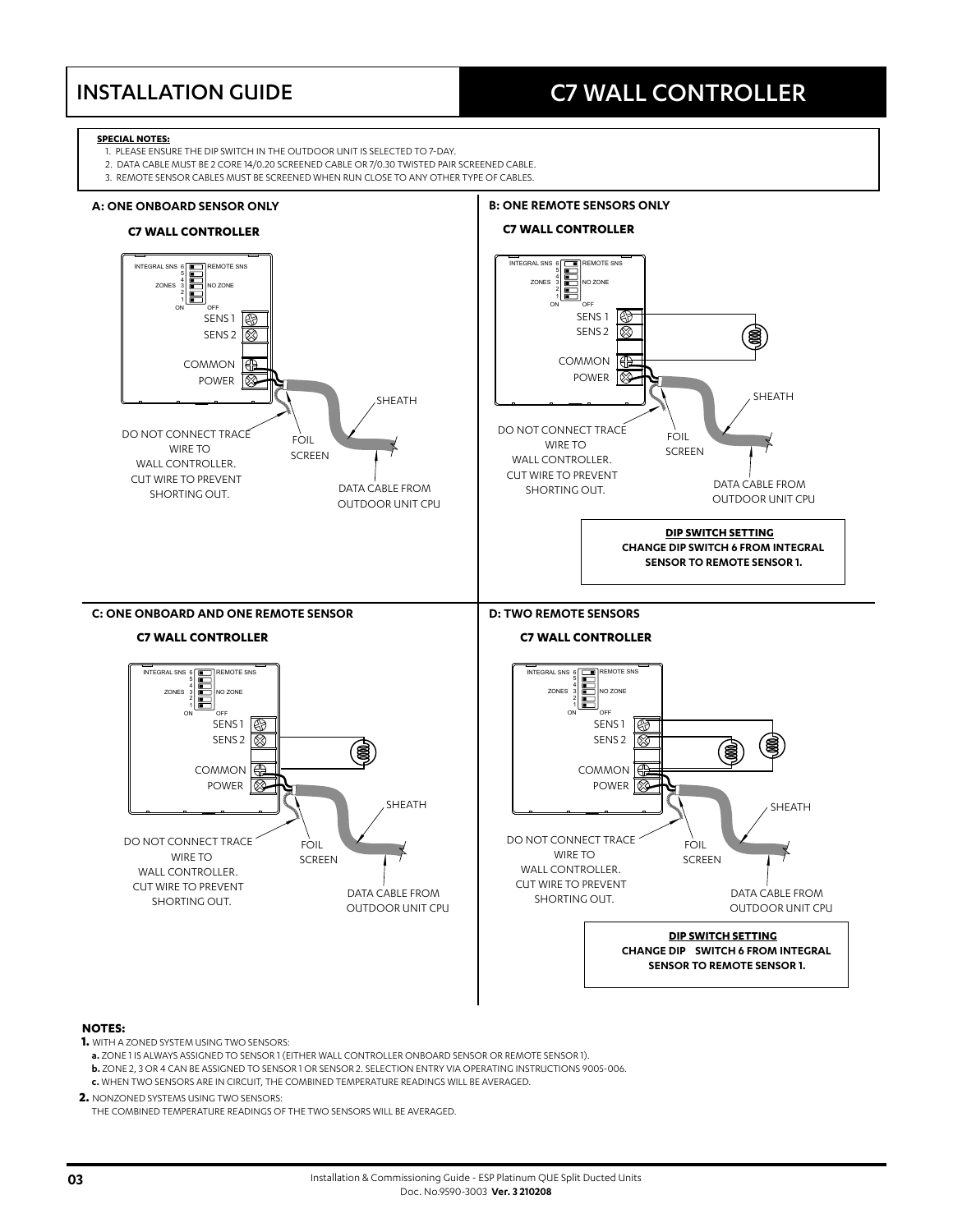### **SPECIAL NOTES:**

- 1. PLEASE ENSURE THE DIP SWITCH IN THE OUTDOOR UNIT IS SELECTED TO 7-DAY.
- 2. DATA CABLE MUST BE 2 CORE 14/0.20 SCREENED CABLE OR 7/0.30 TWISTED PAIR SCREENED CABLE.
- 3. REMOTE SENSOR CABLES MUST BE SCREENED WHEN RUN CLOSE TO ANY OTHER TYPE OF CABLES.



## **NOTES:**

- **1.** WITH A ZONED SYSTEM USING TWO SENSORS:
	- **a.** ZONE 1 IS ALWAYS ASSIGNED TO SENSOR 1 (EITHER WALL CONTROLLER ONBOARD SENSOR OR REMOTE SENSOR 1). **b.** ZONE 2, 3 OR 4 CAN BE ASSIGNED TO SENSOR 1 OR SENSOR 2. SELECTION ENTRY VIA OPERATING INSTRUCTIONS 9005-006. **c.** WHEN TWO SENSORS ARE IN CIRCUIT, THE COMBINED TEMPERATURE READINGS WILL BE AVERAGED.

**2.** NONZONED SYSTEMS USING TWO SENSORS:

THE COMBINED TEMPERATURE READINGS OF THE TWO SENSORS WILL BE AVERAGED.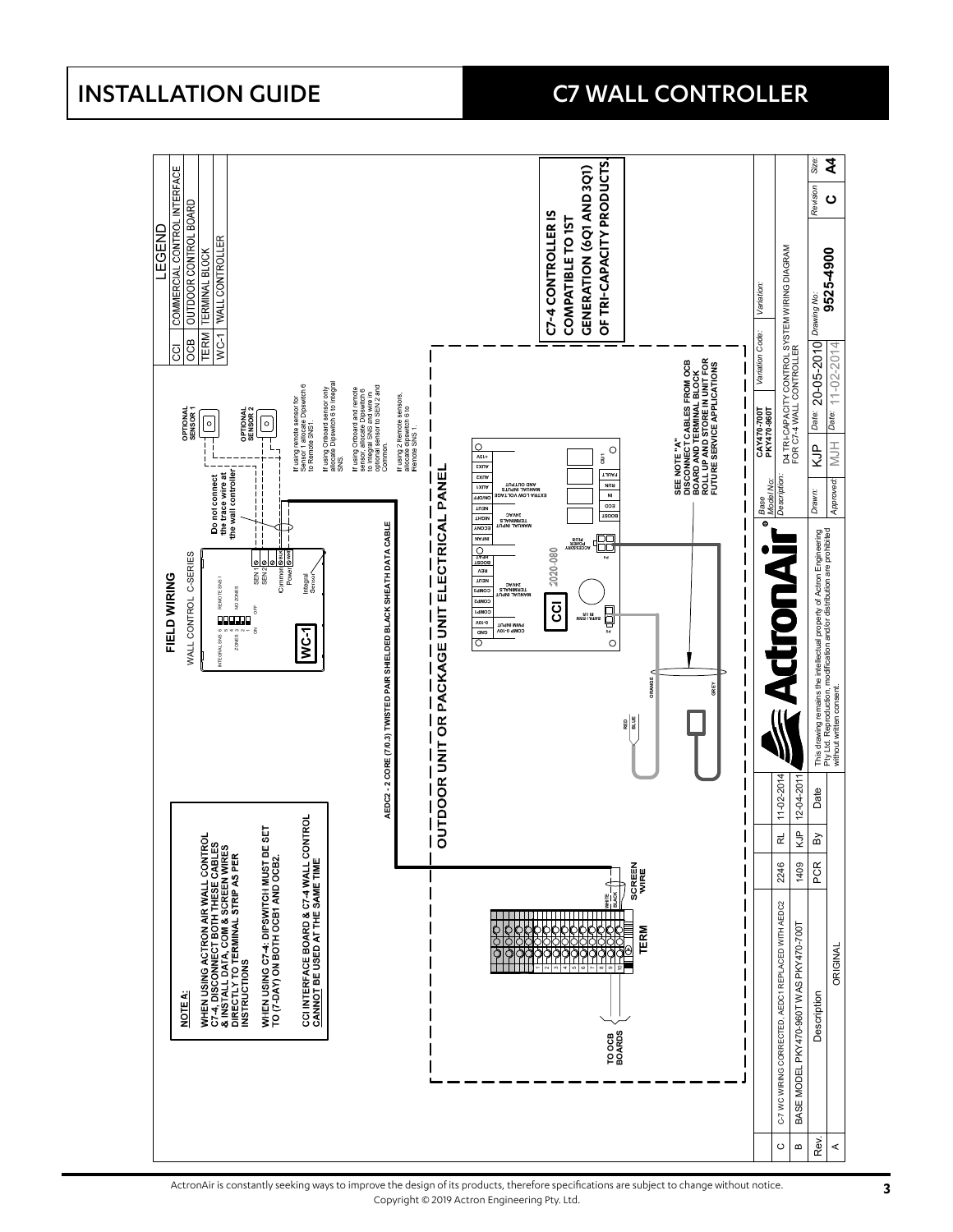